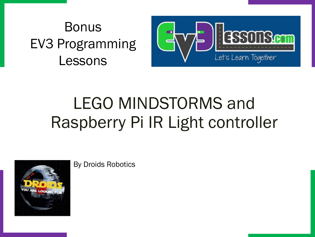#### Bonus EV3 Programming Lessons



### LEGO MINDSTORMS and Raspberry Pi IR Light controller



By Droids Robotics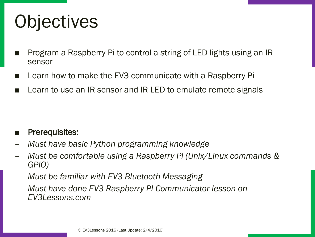# **Objectives**

- Program a Raspberry Pi to control a string of LED lights using an IR sensor
- Learn how to make the EV3 communicate with a Raspberry Pi
- Learn to use an IR sensor and IR LED to emulate remote signals

- Prerequisites:
- *Must have basic Python programming knowledge*
- *Must be comfortable using a Raspberry Pi (Unix/Linux commands & GPIO)*
- *Must be familiar with EV3 Bluetooth Messaging*
- *Must have done EV3 Raspberry PI Communicator lesson on EV3Lessons.com*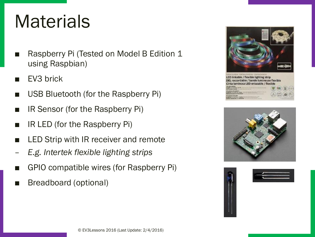### **Materials**

- Raspberry Pi (Tested on Model B Edition 1 using Raspbian)
- EV3 brick
- USB Bluetooth (for the Raspberry Pi)
- IR Sensor (for the Raspberry Pi)
- IR LED (for the Raspberry Pi)
- LED Strip with IR receiver and remote
- *E.g. Intertek flexible lighting strips*
- GPIO compatible wires (for Raspberry Pi)
- Breadboard (optional)





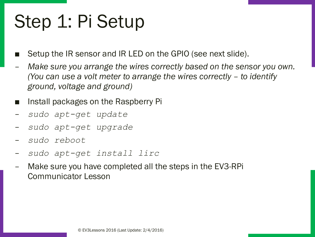# Step 1: Pi Setup

- Setup the IR sensor and IR LED on the GPIO (see next slide).
- *Make sure you arrange the wires correctly based on the sensor you own. (You can use a volt meter to arrange the wires correctly – to identify ground, voltage and ground)*
- Install packages on the Raspberry Pi
- *sudo apt-get update*
- *sudo apt-get upgrade*
- *sudo reboot*
- *sudo apt-get install lirc*
- Make sure you have completed all the steps in the EV3-RPi Communicator Lesson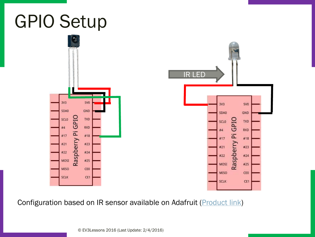# GPIO Setup



Configuration based on IR sensor available on Adafruit (*Product link*)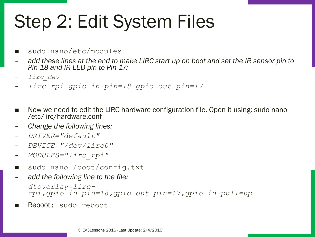# Step 2: Edit System Files

- sudo nano/etc/modules
- *add these lines at the end to make LIRC start up on boot and set the IR sensor pin to Pin-18 and IR LED pin to Pin-17:*
- *lirc\_dev*
- *lirc\_rpi gpio\_in\_pin=18 gpio\_out\_pin=17*
- Now we need to edit the LIRC hardware configuration file. Open it using: sudo nano /etc/lirc/hardware.conf
- *Change the following lines:*
- *DRIVER="default"*
- *DEVICE="/dev/lirc0"*
- *MODULES="lirc\_rpi"*
- sudo nano /boot/config.txt
- *add the following line to the file:*
- *dtoverlay=lircrpi,gpio\_in\_pin=18,gpio\_out\_pin=17,gpio\_in\_pull=up*
- Reboot: sudo reboot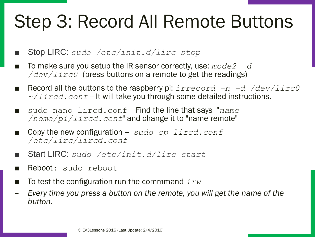# Step 3: Record All Remote Buttons

■ Stop LIRC: *sudo /etc/init.d/lirc stop*

- To make sure you setup the IR sensor correctly, use:  $mode2 d$ */dev/lirc0* (press buttons on a remote to get the readings)
- Record all the buttons to the raspberry pi: *irrecord –n -d /dev/lirc0 ~/lircd.conf* -- It will take you through some detailed instructions.
- sudo nano lircd.conf Find the line that says "*name /home/pi/lircd.conf*" and change it to "name remote"
- Copy the new configuration -- *sudo cp lircd.conf /etc/lirc/lircd.conf*
- Start LIRC: *sudo /etc/init.d/lirc start*
- Reboot: sudo reboot
- To test the configuration run the commmand  $irw$
- *Every time you press a button on the remote, you will get the name of the button.*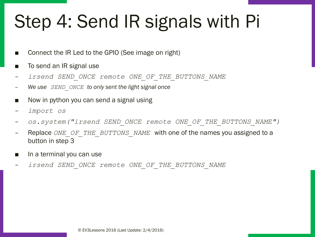# Step 4: Send IR signals with Pi

- Connect the IR Led to the GPIO (See image on right)
- To send an IR signal use
- *irsend SEND\_ONCE remote ONE\_OF\_THE\_BUTTONS\_NAME*
- *We use SEND\_ONCE to only sent the light signal once*
- Now in python you can send a signal using
- *import os*
- *os.system("irsend SEND\_ONCE remote ONE\_OF\_THE\_BUTTONS\_NAME")*
- Replace *ONE\_OF\_THE\_BUTTONS\_NAME\_with one of the names you assigned to a* button in step 3
- In a terminal you can use
- *irsend SEND\_ONCE remote ONE\_OF\_THE\_BUTTONS\_NAME*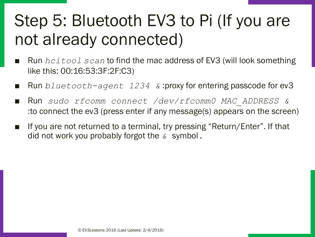#### Step 5: Bluetooth EV3 to Pi (If you are not already connected)

- Run *hcitool scan* to find the mac address of EV3 (will look something like this: 00:16:53:3F:2F:C3)
- Run *bluetooth-agent 1234 &* :proxy for entering passcode for ev3
- Run *sudo rfcomm connect /dev/rfcomm0 MAC\_ADDRESS &* :to connect the ev3 (press enter if any message(s) appears on the screen)
- If you are not returned to a terminal, try pressing "Return/Enter". If that did not work you probably forgot the *&* symbol*.*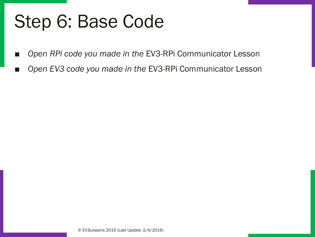# Step 6: Base Code

- *Open RPi code you made in the* EV3-RPi Communicator Lesson
- Open EV3 code you made in the EV3-RPi Communicator Lesson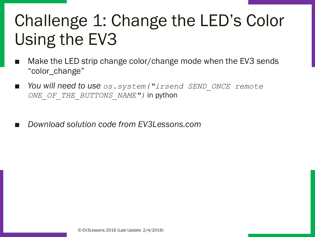#### Challenge 1: Change the LED's Color Using the EV3

- Make the LED strip change color/change mode when the EV3 sends "color\_change"
- *You will need to use os.system("irsend SEND\_ONCE remote ONE\_OF\_THE\_BUTTONS\_NAME")* in python
- *Download solution code from EV3Lessons.com*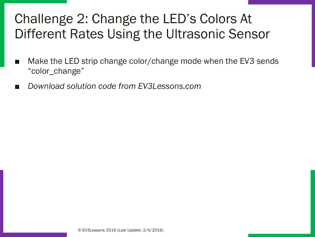#### Challenge 2: Change the LED's Colors At Different Rates Using the Ultrasonic Sensor

- Make the LED strip change color/change mode when the EV3 sends "color\_change"
- *Download solution code from EV3Lessons.com*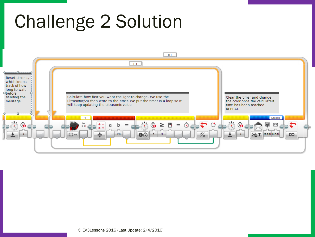# Challenge 2 Solution